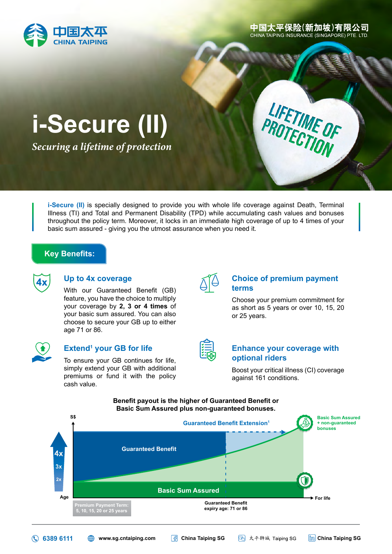

中国太平保险(新加坡)有限公司 CHINA TAIPING INSURANCE (SINGAPORE) PTE. LTD.

LIFETIME OF

# **i-Secure (II)**

*Securing a lifetime of protection*

**i-Secure (II)** is specially designed to provide you with whole life coverage against Death, Terminal Illness (TI) and Total and Permanent Disability (TPD) while accumulating cash values and bonuses throughout the policy term. Moreover, it locks in an immediate high coverage of up to 4 times of your basic sum assured - giving you the utmost assurance when you need it.

### **Key Benefits:**



### **Up to 4x coverage**

With our Guaranteed Benefit (GB) feature, you have the choice to multiply your coverage by **2, 3 or 4 times** of your basic sum assured. You can also choose to secure your GB up to either age 71 or 86.



### **Extend<sup>1</sup> your GB for life**

To ensure your GB continues for life, simply extend your GB with additional premiums or fund it with the policy cash value.



### **Choice of premium payment terms**

Choose your premium commitment for as short as 5 years or over 10, 15, 20 or 25 years.

### **Enhance your coverage with optional riders**

Boost your critical illness (CI) coverage against 161 conditions.

#### **Benefit payout is the higher of Guaranteed Benefit or Basic Sum Assured plus non-guaranteed bonuses.**



**6389 6111 [www.sg.cntaiping.com](http://www.sg.cntaiping.com) [China Taiping SG](https://www.facebook.com/chinataipingsg/) [China Taiping SG](https://sg.linkedin.com/company/china-taiping-sg)**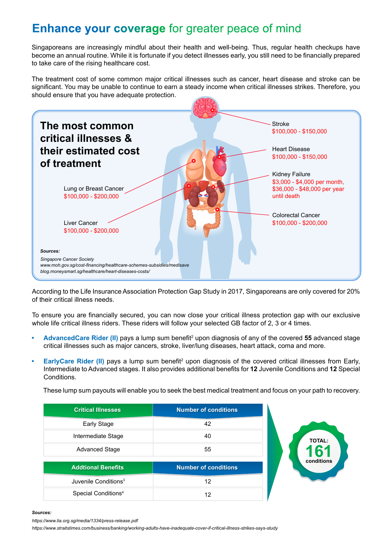# **Enhance your coverage** for greater peace of mind

Singaporeans are increasingly mindful about their health and well-being. Thus, regular health checkups have become an annual routine. While it is fortunate if you detect illnesses early, you still need to be financially prepared to take care of the rising healthcare cost.

The treatment cost of some common major critical illnesses such as cancer, heart disease and stroke can be significant. You may be unable to continue to earn a steady income when critical illnesses strikes. Therefore, you should ensure that you have adequate protection.



According to the Life Insurance Association Protection Gap Study in 2017, Singaporeans are only covered for 20% of their critical illness needs.

To ensure you are financially secured, you can now close your critical illness protection gap with our exclusive whole life critical illness riders. These riders will follow your selected GB factor of 2, 3 or 4 times.

- **AdvancedCare Rider (II)** pays a lump sum benefit<sup>2</sup> upon diagnosis of any of the covered 55 advanced stage critical illnesses such as major cancers, stroke, liver/lung diseases, heart attack, coma and more.
- **EarlyCare Rider (II) pays a lump sum benefit<sup>2</sup> upon diagnosis of the covered critical illnesses from Early,** Intermediate to Advanced stages. It also provides additional benefits for **12** Juvenile Conditions and **12** Special Conditions.

These lump sum payouts will enable you to seek the best medical treatment and focus on your path to recovery.

| <b>Critical Illnesses</b>        | <b>Number of conditions</b> |
|----------------------------------|-----------------------------|
| Early Stage                      | 42                          |
| Intermediate Stage               | 40                          |
| <b>Advanced Stage</b>            | 55                          |
| <b>Addtional Benefits</b>        | <b>Number of conditions</b> |
|                                  |                             |
| Juvenile Conditions <sup>3</sup> | 12                          |
|                                  |                             |



#### *Sources:*

*https://www.lia.org.sg/media/1334/press-release.pdf*

*https://www.straitstimes.com/business/banking/working-adults-have-inadequate-cover-if-critical-illness-strikes-says-study*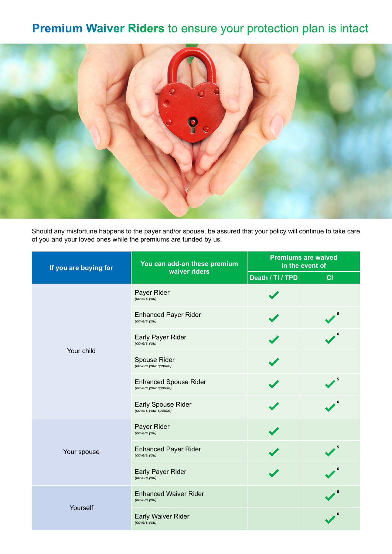# **Premium Waiver Riders** to ensure your protection plan is intact



Should any misfortune happens to the payer and/or spouse, be assured that your policy will continue to take care of you and your loved ones while the premiums are funded by us.

| If you are buying for | You can add-on these premium                         | <b>Premiums are waived</b><br>in the event of |    |  |
|-----------------------|------------------------------------------------------|-----------------------------------------------|----|--|
|                       | waiver riders                                        | Death / TI / TPD                              | CI |  |
|                       | Payer Rider<br>(covers you)                          |                                               |    |  |
|                       | <b>Enhanced Payer Rider</b><br>(covers you)          |                                               |    |  |
| Your child            | Early Payer Rider<br>(covers you)                    |                                               |    |  |
|                       | Spouse Rider<br>(covers your spouse)                 |                                               |    |  |
|                       | <b>Enhanced Spouse Rider</b><br>(covers your spouse) |                                               | 5  |  |
|                       | <b>Early Spouse Rider</b><br>(covers your spouse)    |                                               |    |  |
|                       | Payer Rider<br>(covers you)                          |                                               |    |  |
| Your spouse           | <b>Enhanced Payer Rider</b><br>(covers you)          |                                               |    |  |
|                       | Early Payer Rider<br>(covers you)                    |                                               |    |  |
| Yourself              | <b>Enhanced Waiver Rider</b><br>(covers you)         |                                               |    |  |
|                       | <b>Early Waiver Rider</b><br>(covers you)            |                                               |    |  |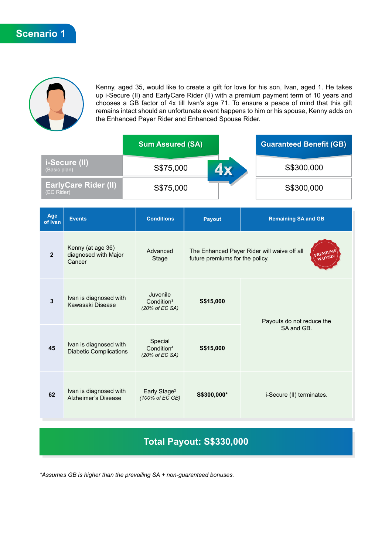

Kenny, aged 35, would like to create a gift for love for his son, Ivan, aged 1. He takes up i-Secure (II) and EarlyCare Rider (II) with a premium payment term of 10 years and chooses a GB factor of 4x till Ivan's age 71. To ensure a peace of mind that this gift remains intact should an unfortunate event happens to him or his spouse, Kenny adds on the Enhanced Payer Rider and Enhanced Spouse Rider.

|                                           | <b>Sum Assured (SA)</b> | <b>Guaranteed Benefit (GB)</b> |            |
|-------------------------------------------|-------------------------|--------------------------------|------------|
| <i>i-Secure (II)</i><br>(Basic plan)      | S\$75,000               | <b>4x</b>                      | S\$300,000 |
| <b>EarlyCare Rider (II)</b><br>(EC Rider) | S\$75,000               |                                | S\$300,000 |

| Age<br>of Ivan | <b>Events</b>                                           | <b>Conditions</b>                                    | <b>Payout</b>                                                                                         | <b>Remaining SA and GB</b> |  |
|----------------|---------------------------------------------------------|------------------------------------------------------|-------------------------------------------------------------------------------------------------------|----------------------------|--|
| $\overline{2}$ | Kenny (at age 36)<br>diagnosed with Major<br>Cancer     | Advanced<br>Stage                                    | The Enhanced Payer Rider will waive off all<br>PREMIUMS<br>WAIVED!<br>future premiums for the policy. |                            |  |
| 3              | Ivan is diagnosed with<br>Kawasaki Disease              | Juvenile<br>Condition <sup>3</sup><br>(20% of EC SA) | S\$15,000                                                                                             | Payouts do not reduce the  |  |
| 45             | Ivan is diagnosed with<br><b>Diabetic Complications</b> | Special<br>Condition <sup>4</sup><br>(20% of EC SA)  | S\$15,000                                                                                             | SA and GB.                 |  |
| 62             | Ivan is diagnosed with<br>Alzheimer's Disease           | Early Stage <sup>2</sup><br>(100% of EC GB)          | S\$300,000*                                                                                           | i-Secure (II) terminates.  |  |

## **Total Payout: S\$330,000**

*\*Assumes GB is higher than the prevailing SA + non-guaranteed bonuses.*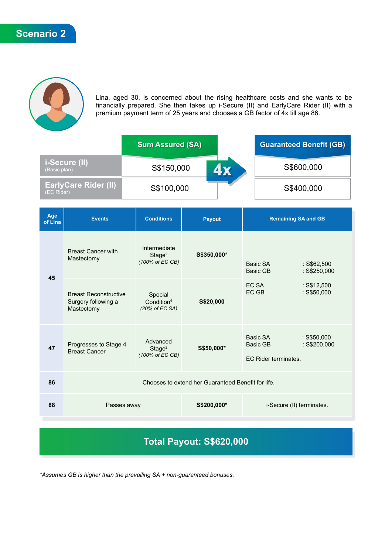

Lina, aged 30, is concerned about the rising healthcare costs and she wants to be financially prepared. She then takes up i-Secure (II) and EarlyCare Rider (II) with a premium payment term of 25 years and chooses a GB factor of 4x till age 86.

|                                           | <b>Sum Assured (SA)</b> | <b>Guaranteed Benefit (GB)</b> |            |
|-------------------------------------------|-------------------------|--------------------------------|------------|
| i-Secure (II)<br>(Basic plan)             | S\$150,000              | <b>4 X</b>                     | S\$600,000 |
| <b>EarlyCare Rider (II)</b><br>(EC Rider) | S\$100,000              |                                | S\$400,000 |

| Age<br>of Lina | <b>Events</b>                                                     | <b>Conditions</b>                                     | Payout      | <b>Remaining SA and GB</b>                   |                                                                   |
|----------------|-------------------------------------------------------------------|-------------------------------------------------------|-------------|----------------------------------------------|-------------------------------------------------------------------|
|                | <b>Breast Cancer with</b><br>Mastectomy                           | Intermediate<br>Stage <sup>2</sup><br>(100% of EC GB) | S\$350,000* | Basic SA<br>Basic GB                         | $:$ S\$62,500<br>$:$ S\$250,000<br>$:$ S\$12,500<br>$:$ S\$50,000 |
| 45             | <b>Breast Reconstructive</b><br>Surgery following a<br>Mastectomy | Special<br>Condition <sup>4</sup><br>(20% of EC SA)   | S\$20,000   | EC SA<br>EC GB                               |                                                                   |
| 47             | Progresses to Stage 4<br><b>Breast Cancer</b>                     | Advanced<br>Stage <sup>2</sup><br>(100% of EC GB)     | S\$50,000*  | Basic SA<br>Basic GB<br>EC Rider terminates. | $:$ S\$50,000<br>$:$ S\$200,000                                   |
| 86             | Chooses to extend her Guaranteed Benefit for life.                |                                                       |             |                                              |                                                                   |
| 88             | Passes away                                                       |                                                       | S\$200,000* | i-Secure (II) terminates.                    |                                                                   |

# **Total Payout: S\$620,000**

*\*Assumes GB is higher than the prevailing SA + non-guaranteed bonuses.*